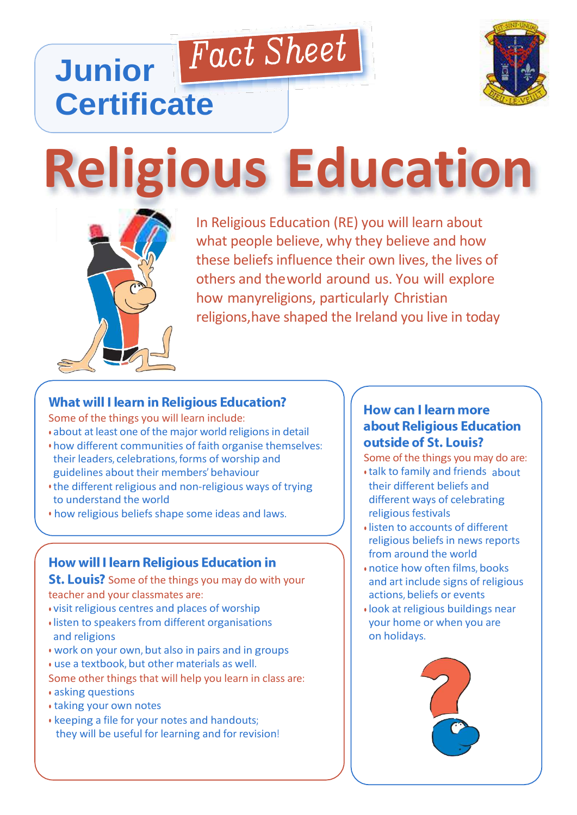# **Religious Education**

Fact Sheet



**Junior**

**Certificate**

In Religious Education (RE) you will learn In Religious Education (RE) you will learn about what people believe, why they believe and how these beliefs influence their own lives, the lives of others and theworld around us. You will explore how manyreligions, particularly Christian religions,have shaped the Ireland you live in today

### **What will I learn in Religious Education?**

Some of the things you will learn include:

- about at least one of the major world religions in detail
- how different communities of faith organise themselves: their leaders, celebrations, forms of worship and guidelines about their members' behaviour
- the different religious and non-religious ways of trying to understand the world
- how religious beliefs shape some ideas and laws.

## **How will I learn Religious Education in**

**St. Louis?** Some of the things you may do with your teacher and your classmates are:

- visit religious centres and places of worship
- listen to speakers from different organisations and religions
- work on your own, but also in pairs and in groups
- use a textbook, but other materials as well.
- Some other things that will help you learn in class are:
- asking questions
- taking your own notes
- keeping a file for your notes and handouts; they will be useful for learning and for revision!

#### **How can I learn more** about Religious Education outside of St. Louis?

Some of the things you may do are:

- talk to family and friends about their different beliefs and different ways of celebrating religious festivals
- listen to accounts of different religious beliefs in news reports from around the world
- notice how often films, books and art include signs of religious actions, beliefs or events
- look at religious buildings near your home or when you are on holidays.